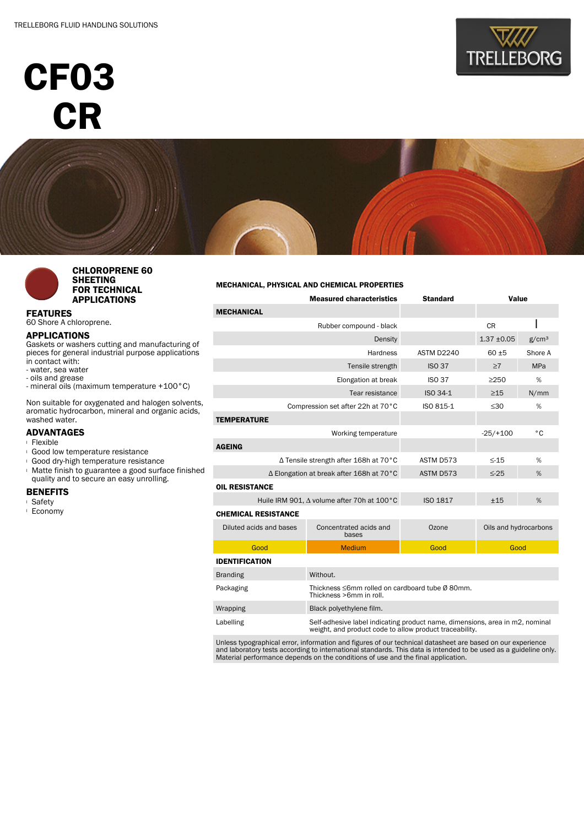# CF03 **CR**







#### CHLOROPRENE 60 SHEETING FOR TECHNICAL APPLICATIONS

FEATURES 60 Shore A chloroprene.

## APPLICATIONS

Gaskets or washers cutting and manufacturing of pieces for general industrial purpose applications in contact with:

- water, sea water
- oils and grease
- mineral oils (maximum temperature +100°C)

Non suitable for oxygenated and halogen solvents, aromatic hydrocarbon, mineral and organic acids, washed water.

### ADVANTAGES

- <sup>l</sup> Flexible
- <sup>l</sup> Good low temperature resistance
- <sup>l</sup> Good dry-high temperature resistance
- <sup>l</sup> Matte finish to guarantee a good surface finished quality and to secure an easy unrolling.

## BENEFITS

- <sup>l</sup> Safety
- <sup>l</sup> Economy

#### MECHANICAL, PHYSICAL AND CHEMICAL PROPERTIES

| <b>Measured characteristics</b>            |                                                                                                                                         | <b>Standard</b> | Value                 |                   |  |  |  |  |
|--------------------------------------------|-----------------------------------------------------------------------------------------------------------------------------------------|-----------------|-----------------------|-------------------|--|--|--|--|
| <b>MECHANICAL</b>                          |                                                                                                                                         |                 |                       |                   |  |  |  |  |
|                                            | Rubber compound - black                                                                                                                 |                 | <b>CR</b>             |                   |  |  |  |  |
| Density                                    |                                                                                                                                         |                 | $1.37 + 0.05$         | g/cm <sup>3</sup> |  |  |  |  |
|                                            | ASTM D2240                                                                                                                              | $60 + 5$        | Shore A               |                   |  |  |  |  |
|                                            | <b>ISO 37</b>                                                                                                                           | $\geq 7$        | <b>MPa</b>            |                   |  |  |  |  |
|                                            | <b>ISO 37</b>                                                                                                                           | >250            | %                     |                   |  |  |  |  |
|                                            | ISO 34-1                                                                                                                                | $\geq$ 15       | N/mm                  |                   |  |  |  |  |
| Compression set after 22h at 70°C          | ISO 815-1                                                                                                                               | $\leq 30$       | %                     |                   |  |  |  |  |
| <b>TEMPERATURE</b>                         |                                                                                                                                         |                 |                       |                   |  |  |  |  |
| Working temperature                        |                                                                                                                                         |                 | $-25/+100$            | °C                |  |  |  |  |
| <b>AGEING</b>                              |                                                                                                                                         |                 |                       |                   |  |  |  |  |
| ∆ Tensile strength after 168h at 70°C      | ASTM D573                                                                                                                               | $\leq$ -15<br>% |                       |                   |  |  |  |  |
| ∆ Elongation at break after 168h at 70°C   | ASTM D573                                                                                                                               | $\leq$ -25<br>% |                       |                   |  |  |  |  |
| <b>OIL RESISTANCE</b>                      |                                                                                                                                         |                 |                       |                   |  |  |  |  |
| Huile IRM 901, A volume after 70h at 100°C | <b>ISO 1817</b>                                                                                                                         | ±15<br>%        |                       |                   |  |  |  |  |
| <b>CHEMICAL RESISTANCE</b>                 |                                                                                                                                         |                 |                       |                   |  |  |  |  |
| Diluted acids and bases                    | Concentrated acids and<br>bases                                                                                                         | Ozone           | Oils and hydrocarbons |                   |  |  |  |  |
| Good                                       | <b>Medium</b>                                                                                                                           | Good            | Good                  |                   |  |  |  |  |
| <b>IDENTIFICATION</b>                      |                                                                                                                                         |                 |                       |                   |  |  |  |  |
| <b>Branding</b>                            | Without.                                                                                                                                |                 |                       |                   |  |  |  |  |
| Packaging                                  | Thickness ≤6mm rolled on cardboard tube Ø 80mm.<br>Thickness >6mm in roll.                                                              |                 |                       |                   |  |  |  |  |
| Wrapping                                   | Black polyethylene film.                                                                                                                |                 |                       |                   |  |  |  |  |
| Labelling                                  | Self-adhesive label indicating product name, dimensions, area in m2, nominal<br>weight, and product code to allow product traceability. |                 |                       |                   |  |  |  |  |

Unless typographical error, information and figures of our technical datasheet are based on our experience<br>and laboratory tests according to international standards. This data is intended to be used as a guideline only.<br>Ma